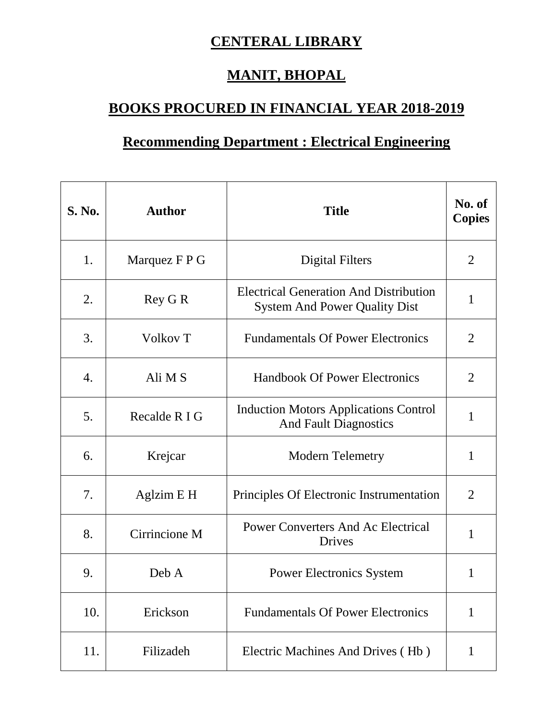## **CENTERAL LIBRARY**

## **MANIT, BHOPAL**

## **BOOKS PROCURED IN FINANCIAL YEAR 2018-2019**

## **Recommending Department : Electrical Engineering**

| <b>S. No.</b> | <b>Author</b>       | <b>Title</b>                                                                          | No. of<br><b>Copies</b> |
|---------------|---------------------|---------------------------------------------------------------------------------------|-------------------------|
| 1.            | Marquez F P G       | Digital Filters                                                                       | $\overline{2}$          |
| 2.            | Rey G R             | <b>Electrical Generation And Distribution</b><br><b>System And Power Quality Dist</b> | 1                       |
| 3.            | Volkov <sub>T</sub> | <b>Fundamentals Of Power Electronics</b>                                              | $\overline{2}$          |
| 4.            | Ali M S             | <b>Handbook Of Power Electronics</b>                                                  | $\overline{2}$          |
| 5.            | Recalde R I G       | <b>Induction Motors Applications Control</b><br><b>And Fault Diagnostics</b>          | $\mathbf{1}$            |
| 6.            | Krejcar             | <b>Modern Telemetry</b>                                                               | $\mathbf{1}$            |
| 7.            | Aglzim E H          | Principles Of Electronic Instrumentation                                              | $\overline{2}$          |
| 8.            | Cirrincione M       | <b>Power Converters And Ac Electrical</b><br>Drives                                   | $\mathbf{1}$            |
| 9.            | Deb A               | <b>Power Electronics System</b>                                                       | 1                       |
| 10.           | Erickson            | <b>Fundamentals Of Power Electronics</b>                                              | $\mathbf{1}$            |
| 11.           | Filizadeh           | Electric Machines And Drives (Hb)                                                     | $\mathbf{1}$            |